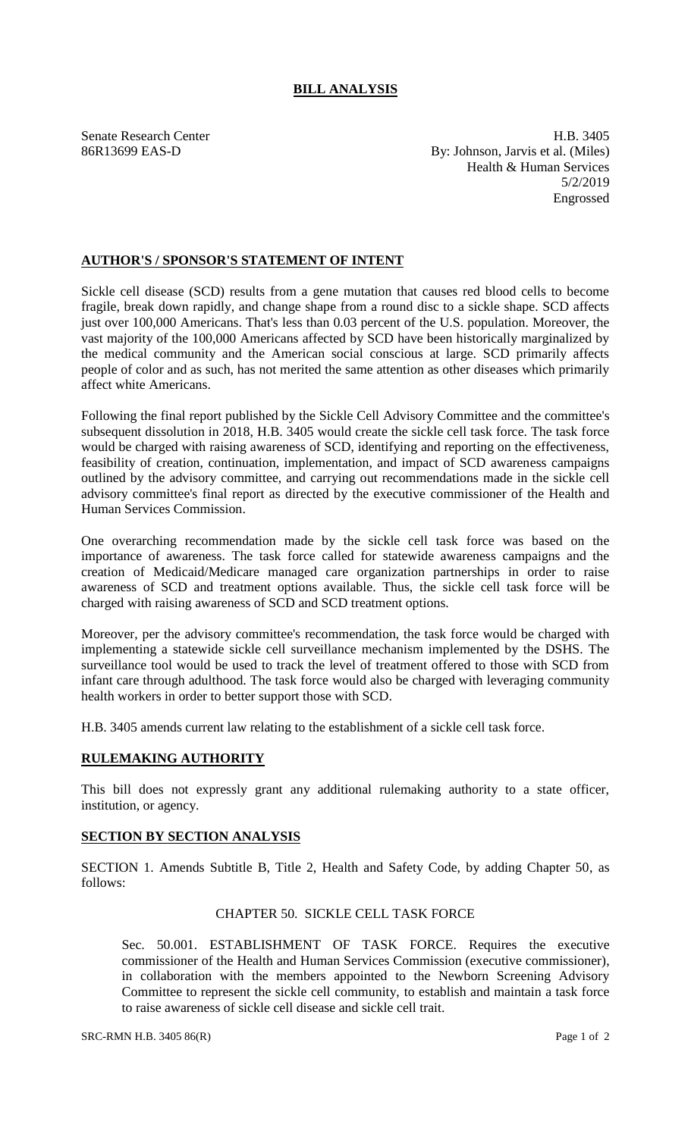# **BILL ANALYSIS**

Senate Research Center **H.B.** 3405 86R13699 EAS-D By: Johnson, Jarvis et al. (Miles) Health & Human Services 5/2/2019 Engrossed

## **AUTHOR'S / SPONSOR'S STATEMENT OF INTENT**

Sickle cell disease (SCD) results from a gene mutation that causes red blood cells to become fragile, break down rapidly, and change shape from a round disc to a sickle shape. SCD affects just over 100,000 Americans. That's less than 0.03 percent of the U.S. population. Moreover, the vast majority of the 100,000 Americans affected by SCD have been historically marginalized by the medical community and the American social conscious at large. SCD primarily affects people of color and as such, has not merited the same attention as other diseases which primarily affect white Americans.

Following the final report published by the Sickle Cell Advisory Committee and the committee's subsequent dissolution in 2018, H.B. 3405 would create the sickle cell task force. The task force would be charged with raising awareness of SCD, identifying and reporting on the effectiveness, feasibility of creation, continuation, implementation, and impact of SCD awareness campaigns outlined by the advisory committee, and carrying out recommendations made in the sickle cell advisory committee's final report as directed by the executive commissioner of the Health and Human Services Commission.

One overarching recommendation made by the sickle cell task force was based on the importance of awareness. The task force called for statewide awareness campaigns and the creation of Medicaid/Medicare managed care organization partnerships in order to raise awareness of SCD and treatment options available. Thus, the sickle cell task force will be charged with raising awareness of SCD and SCD treatment options.

Moreover, per the advisory committee's recommendation, the task force would be charged with implementing a statewide sickle cell surveillance mechanism implemented by the DSHS. The surveillance tool would be used to track the level of treatment offered to those with SCD from infant care through adulthood. The task force would also be charged with leveraging community health workers in order to better support those with SCD.

H.B. 3405 amends current law relating to the establishment of a sickle cell task force.

### **RULEMAKING AUTHORITY**

This bill does not expressly grant any additional rulemaking authority to a state officer, institution, or agency.

#### **SECTION BY SECTION ANALYSIS**

SECTION 1. Amends Subtitle B, Title 2, Health and Safety Code, by adding Chapter 50, as follows:

# CHAPTER 50. SICKLE CELL TASK FORCE

Sec. 50.001. ESTABLISHMENT OF TASK FORCE. Requires the executive commissioner of the Health and Human Services Commission (executive commissioner), in collaboration with the members appointed to the Newborn Screening Advisory Committee to represent the sickle cell community, to establish and maintain a task force to raise awareness of sickle cell disease and sickle cell trait.